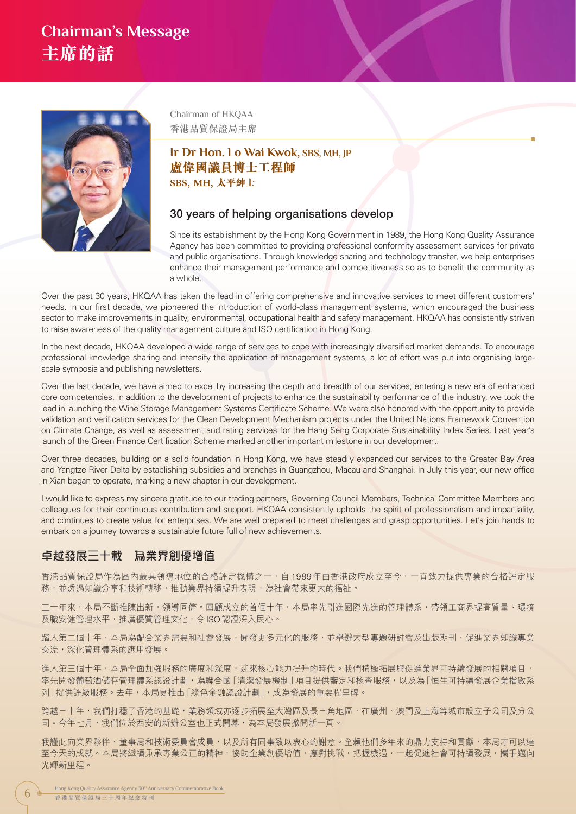## **Chairman's Message 主席的話**



Chairman of HKQAA 香港品質保證局主席

### **Ir Dr Hon. Lo Wai Kwok, SBS, MH, JP 盧偉國議員博士工程師 SBS, MH, 太平紳士**

#### 30 years of helping organisations develop

Since its establishment by the Hong Kong Government in 1989, the Hong Kong Quality Assurance Agency has been committed to providing professional conformity assessment services for private and public organisations. Through knowledge sharing and technology transfer, we help enterprises enhance their management performance and competitiveness so as to benefit the community as a whole.

Over the past 30 years, HKQAA has taken the lead in offering comprehensive and innovative services to meet different customers' needs. In our first decade, we pioneered the introduction of world-class management systems, which encouraged the business sector to make improvements in quality, environmental, occupational health and safety management. HKQAA has consistently striven to raise awareness of the quality management culture and ISO certification in Hong Kong.

In the next decade, HKQAA developed a wide range of services to cope with increasingly diversified market demands. To encourage professional knowledge sharing and intensify the application of management systems, a lot of effort was put into organising largescale symposia and publishing newsletters.

Over the last decade, we have aimed to excel by increasing the depth and breadth of our services, entering a new era of enhanced core competencies. In addition to the development of projects to enhance the sustainability performance of the industry, we took the lead in launching the Wine Storage Management Systems Certificate Scheme. We were also honored with the opportunity to provide validation and verification services for the Clean Development Mechanism projects under the United Nations Framework Convention on Climate Change, as well as assessment and rating services for the Hang Seng Corporate Sustainability Index Series. Last year's launch of the Green Finance Certification Scheme marked another important milestone in our development.

Over three decades, building on a solid foundation in Hong Kong, we have steadily expanded our services to the Greater Bay Area and Yangtze River Delta by establishing subsidies and branches in Guangzhou, Macau and Shanghai. In July this year, our new office in Xian began to operate, marking a new chapter in our development.

I would like to express my sincere gratitude to our trading partners, Governing Council Members, Technical Committee Members and colleagues for their continuous contribution and support. HKQAA consistently upholds the spirit of professionalism and impartiality, and continues to create value for enterprises. We are well prepared to meet challenges and grasp opportunities. Let's join hands to embark on a journey towards a sustainable future full of new achievements.

#### 卓越發展三十載 為業界創優增值

香港品質保證局作為區內最具領導地位的合格評定機構之一,自 1989 年由香港政府成立至今,一直致力提供專業的合格評定服 務,並透過知識分享和技術轉移,推動業界持續提升表現,為社會帶來更大的福祉。

三十年來,本局不斷推陳出新,領導同儕。回顧成立的首個十年,本局率先引進國際先進的管理體系,帶領工商界提高質量、環境 及職安健管理水平,推廣優質管理文化,令 ISO 認證深入民心。

踏入第二個十年,本局為配合業界需要和社會發展,開發更多元化的服務,並舉辦大型專題研討會及出版期刊,促進業界知識專業 交流,深化管理體系的應用發展。

進入第三個十年,本局全面加強服務的廣度和深度,迎來核心能力提升的時代。我們積極拓展與促進業界可持續發展的相關項目, 率先開發葡萄酒儲存管理體系認證計劃,為聯合國「清潔發展機制」項目提供審定和核查服務,以及為「恒生可持續發展企業指數系 列」提供評級服務。去年,本局更推出「綠色金融認證計劃」,成為發展的重要程里碑。

跨越三十年,我們打穩了香港的基礎,業務領域亦逐步拓展至大灣區及長三角地區,在廣州、澳門及上海等城市設立子公司及分公 司。今年七月,我們位於西安的新辦公室也正式開幕,為本局發展掀開新一頁。

我謹此向業界夥伴、董事局和技術委員會成員,以及所有同事致以衷心的謝意。全賴他們多年來的鼎力支持和貢獻,本局才可以達 至今天的成就。本局將繼續秉承專業公正的精神,協助企業創優增值,應對挑戰,把握機遇,一起促進社會可持續發展,攜手邁向 光輝新里程。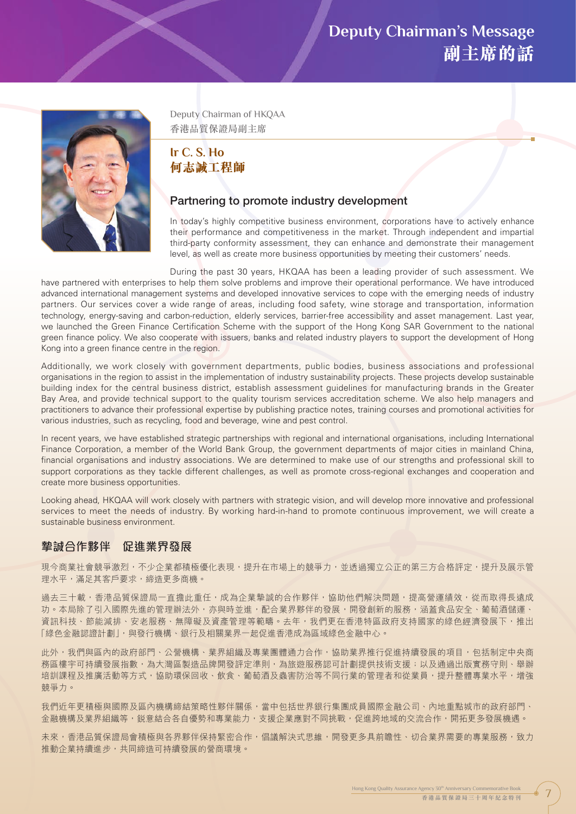## **Deputy Chairman's Message 副主席的話**



Deputy Chairman of HKQAA 香港品質保證局副主席

## **Ir C. S. Ho 何志誠工程師**

#### Partnering to promote industry development

In today's highly competitive business environment, corporations have to actively enhance their performance and competitiveness in the market. Through independent and impartial third-party conformity assessment, they can enhance and demonstrate their management level, as well as create more business opportunities by meeting their customers' needs.

During the past 30 years, HKQAA has been a leading provider of such assessment. We have partnered with enterprises to help them solve problems and improve their operational performance. We have introduced advanced international management systems and developed innovative services to cope with the emerging needs of industry partners. Our services cover a wide range of areas, including food safety, wine storage and transportation, information technology, energy-saving and carbon-reduction, elderly services, barrier-free accessibility and asset management. Last year, we launched the Green Finance Certification Scheme with the support of the Hong Kong SAR Government to the national green finance policy. We also cooperate with issuers, banks and related industry players to support the development of Hong Kong into a green finance centre in the region.

Additionally, we work closely with government departments, public bodies, business associations and professional organisations in the region to assist in the implementation of industry sustainability projects. These projects develop sustainable building index for the central business district, establish assessment guidelines for manufacturing brands in the Greater Bay Area, and provide technical support to the quality tourism services accreditation scheme. We also help managers and practitioners to advance their professional expertise by publishing practice notes, training courses and promotional activities for various industries, such as recycling, food and beverage, wine and pest control.

In recent years, we have established strategic partnerships with regional and international organisations, including International Finance Corporation, a member of the World Bank Group, the government departments of major cities in mainland China, financial organisations and industry associations. We are determined to make use of our strengths and professional skill to support corporations as they tackle different challenges, as well as promote cross-regional exchanges and cooperation and create more business opportunities.

Looking ahead, HKQAA will work closely with partners with strategic vision, and will develop more innovative and professional services to meet the needs of industry. By working hard-in-hand to promote continuous improvement, we will create a sustainable business environment.

### 摯誠合作夥伴 促進業界發展

現今商業社會競爭激烈,不少企業都積極優化表現,提升在市場上的競爭力,並透過獨立公正的第三方合格評定,提升及展示管 理水平,滿足其客戶要求,締造更多商機。

過去三十載,香港品質保證局一直擔此重任,成為企業摯誠的合作夥伴,協助他們解決問題,提高營運績效,從而取得長遠成 功。本局除了引入國際先進的管理辦法外,亦與時並進,配合業界夥伴的發展,開發創新的服務,涵蓋食品安全、葡萄酒儲運、 資訊科技、節能減排、安老服務、無障礙及資產管理等範疇。去年,我們更在香港特區政府支持國家的綠色經濟發展下,推出 「綠色金融認證計劃」,與發行機構、銀行及相關業界一起促進香港成為區域綠色金融中心。

此外,我們與區內的政府部門、公營機構、業界組織及專業團體通力合作,協助業界推行促進持續發展的項目,包括制定中央商 務區樓宇可持續發展指數,為大灣區製造品牌開發評定準則,為旅遊服務認可計劃提供技術支援;以及通過出版實務守則、舉辦 培訓課程及推廣活動等方式,協助環保回收、飲食、葡萄酒及蟲害防治等不同行業的管理者和從業員,提升整體專業水平,增強 競爭力。

我們近年更積極與國際及區內機構締結策略性夥伴關係,當中包括世界銀行集團成員國際金融公司、內地重點城市的政府部門、 金融機構及業界組織等,鋭意結合各自優勢和專業能力,支援企業應對不同挑戰,促進跨地域的交流合作,開拓更多發展機遇。

未來,香港品質保證局會積極與各界夥伴保持緊密合作,倡議解決式思維,開發更多具前瞻性、切合業界需要的專業服務,致力 推動企業持續進步,共同締造可持續發展的營商環境。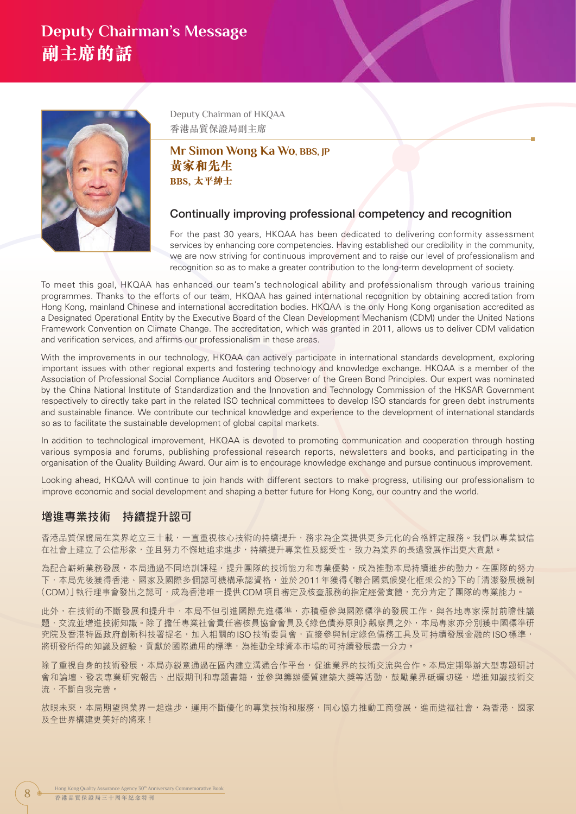## **Deputy Chairman's Message 副主席的話**



Deputy Chairman of HKQAA 香港品質保證局副主席

### **Mr Simon Wong Ka Wo, BBS, JP 黃家和先生 BBS, 太平紳士**

### Continually improving professional competency and recognition

For the past 30 years, HKQAA has been dedicated to delivering conformity assessment services by enhancing core competencies. Having established our credibility in the community, we are now striving for continuous improvement and to raise our level of professionalism and recognition so as to make a greater contribution to the long-term development of society.

To meet this goal, HKQAA has enhanced our team's technological ability and professionalism through various training programmes. Thanks to the efforts of our team, HKQAA has gained international recognition by obtaining accreditation from Hong Kong, mainland Chinese and international accreditation bodies. HKQAA is the only Hong Kong organisation accredited as a Designated Operational Entity by the Executive Board of the Clean Development Mechanism (CDM) under the United Nations Framework Convention on Climate Change. The accreditation, which was granted in 2011, allows us to deliver CDM validation and verification services, and affirms our professionalism in these areas.

With the improvements in our technology, HKQAA can actively participate in international standards development, exploring important issues with other regional experts and fostering technology and knowledge exchange. HKQAA is a member of the Association of Professional Social Compliance Auditors and Observer of the Green Bond Principles. Our expert was nominated by the China National Institute of Standardization and the Innovation and Technology Commission of the HKSAR Government respectively to directly take part in the related ISO technical committees to develop ISO standards for green debt instruments and sustainable finance. We contribute our technical knowledge and experience to the development of international standards so as to facilitate the sustainable development of global capital markets.

In addition to technological improvement, HKQAA is devoted to promoting communication and cooperation through hosting various symposia and forums, publishing professional research reports, newsletters and books, and participating in the organisation of the Quality Building Award. Our aim is to encourage knowledge exchange and pursue continuous improvement.

Looking ahead, HKQAA will continue to join hands with different sectors to make progress, utilising our professionalism to improve economic and social development and shaping a better future for Hong Kong, our country and the world.

### 增進專業技術 持續提升認可

香港品質保證局在業界屹立三十載,一直重視核心技術的持續提升,務求為企業提供更多元化的合格評定服務。我們以專業誠信 在社會上建立了公信形象,並且努力不懈地追求進步,持續提升專業性及認受性,致力為業界的長遠發展作出更大貢獻。

為配合嶄新業務發展,本局通過不同培訓課程,提升團隊的技術能力和專業優勢,成為推動本局持續進步的動力。在團隊的努力 下,本局先後獲得香港、國家及國際多個認可機構承認資格,並於 2011 年獲得《聯合國氣候變化框架公約》下的「清潔發展機制 (CDM)」執行理事會發出之認可,成為香港唯一提供 CDM 項目審定及核查服務的指定經營實體,充分肯定了團隊的專業能力。

此外,在技術的不斷發展和提升中,本局不但引進國際先進標準,亦積極參與國際標準的發展工作,與各地專家探討前瞻性議 題,交流並增進技術知識。除了擔任專業社會責任審核員協會會員及《綠色債券原則》觀察員之外,本局專家亦分別獲中國標準研 究院及香港特區政府創新科技署提名,加入相關的 ISO 技術委員會,直接參與制定綠色債務工具及可持續發展金融的 ISO 標準, 將研發所得的知識及經驗,貢獻於國際通用的標準,為推動全球資本市場的可持續發展盡一分力。

除了重視自身的技術發展,本局亦鋭意通過在區內建立溝通合作平台,促進業界的技術交流與合作。本局定期舉辦大型專題研討 會和論壇、發表專業研究報告、出版期刊和專題書籍,並參與籌辦優質建築大獎等活動,鼓勵業界砥礪切磋,增進知識技術交 流,不斷自我完善。

放眼未來,本局期望與業界一起進步,運用不斷優化的專業技術和服務,同心協力推動工商發展,進而造福社會,為香港、國家 及全世界構建更美好的將來!